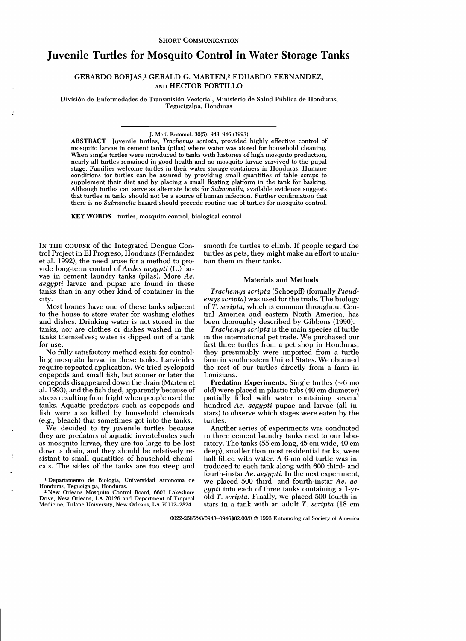# Juvenile Turtles for Mosquito Control in Water Storage Tanks

## GERARDO BORJAS,l GERALD G. MARTEN,2 EDUARDO FERNANDEZ, AND HECTOR PORTILLO

Divisi6n de Enfermedades de Transmisi6n Vectorial, Ministerio de Salud Publica de Honduras, Tegucigalpa, Honduras

J. Med. Entomol. 30(5): 943-946 (1993)

ABSTRACT Juvenile turtles, *Trachemys scripta,* provided highly effective control of mosquito larvae in cement tanks (pilas) where water was stored for household cleaning. When single turtles were introduced to tanks with histories of high mosquito production, nearly all turtles remained in good health and no mosquito larvae survived to the pupal stage. Families welcome turtles in their water storage containers in Honduras. Humane conditions for turtles can be assured by providing small quantities of table scraps to supplement their diet and by placing a small floating platform in the tank for basking. Although turtles can serve as alternate hosts for *Salmonella,* available evidence suggests that turtles in tanks should not be a source of human infection. Further confirmation that there is no *Salmonella* hazard should precede routine use of turtles for mosquito control.

KEY WORDS turtles, mosquito control, biological control

IN THE COURSE of the Integrated Dengue Control Project in El Progreso, Honduras (Fernández et al. 1992), the need arose for a method to provide long-term control of *Aedes aegypti* (L.) larvae in cement laundry tanks (pilas). More *Ae. aegypti* larvae and pupae are found in these tanks than in any other kind of container in the city.

Most homes have one of these tanks adjacent to the house to store water for washing clothes and dishes. Drinking water is not stored in the tanks, nor are clothes or dishes washed in the tanks themselves; water is dipped out of a tank for use.

No fully satisfactory method exists for controlling mosquito larvae in these tanks. Larvicides require repeated application. We tried cyclopoid copepods and small fish, but sooner or later the copepods disappeared down the drain (Marten et al. 1993), and the fish died, apparently because of stress resulting from fright when people used the tanks. Aquatic predators such as copepods and fish were also killed by household chemicals (e.g., bleach) that sometimes got into the tanks.

We decided to try juvenile turtles because they are predators of aquatic invertebrates such as mosquito larvae, they are too large to be lost down a drain, and they should be relatively resistant to small quantities of household chemicals. The sides of the tanks are too steep and smooth for turtles to climb. If people regard the turtles as pets, they might make an effort to maintain them in their tanks.

#### Materials and Methods

**Trachemys scripta (Schoepff) (formally Pseud***emys scripta)* was used for the trials. The biology of *T. scripta,* which is common throughout Central America and eastern North America, has been thoroughly described by Gibbons (1990).

*Trachemys scripta* is the main species of turtle in the international pet trade. We purchased our first three turtles from a pet shop in Honduras; they presumably were imported from a turtle farm in southeastern United States. We obtained the rest of our turtles directly from a farm in Louisiana.

Predation Experiments. Single turtles ( $\approx$ 6 mo old) were placed in plastic tubs (40 cm diameter) partially filled with water containing several hundred *Ae. aegypti* pupae and larvae (all instars) to observe which stages were eaten by the turtles.

Another series of experiments was conducted in three cement laundry tanks next to our laboratory. The tanks (55 cm long, 45 cm wide, 40 cm deep), smaller than most residential tanks, were half filled with water. A 6-mo-old turtle was introduced to each tank along with 600 third- and fourth-instar *Ae. aegypti.* In the next experiment, we placed 500 third- and fourth-instar *Ae. aegypti* into each of three tanks containing a l-yrold *T. scripta.* Finally, we placed 500 fourth instars in a tank with an adult *T. scripta* (18 cm

0022-2585/93/0943-0946\$02.00/0 © 1993 Entomological Society of America

<sup>&</sup>lt;sup>1</sup> Departamento de Biología, Universidad Autónoma de Honduras, Tegucigalpa, Honduras.

<sup>2</sup> New Orleans Mosquito Control Board, 6601 Lakeshore Drive, New Orleans, LA 70126 and Department of Tropical Medicine, Tulane University, New Orleans, LA 70112-2824.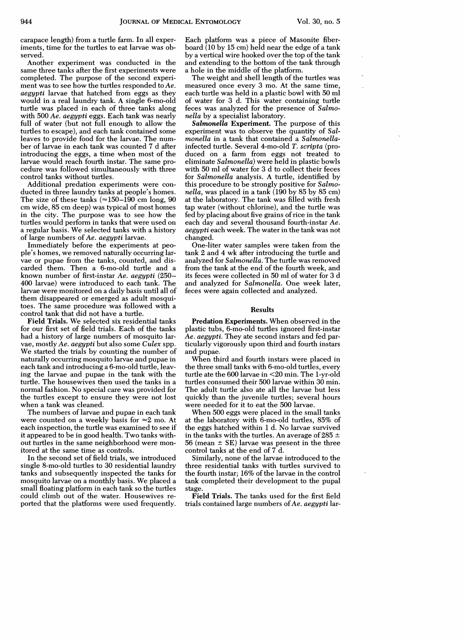carapace length) from a turtle farm. In all experiments, time for the turtles to eat larvae was observed.

Another experiment was conducted in the same three tanks after the first experiments were completed. The purpose of the second experiment was to see how the turtles responded to Ae. *aegypti* larvae that hatched from eggs as they would in a real laundry tank. A single 6-mo-old turtle was placed in each of three tanks along with 500 *Ae. aegypti* eggs. Each tank was nearly full of water (but not full enough to allow the turtles to escape), and each tank contained some leaves to provide food for the larvae. The number of larvae in each tank was counted 7 dafter introducing the eggs, a time when most of the larvae would reach fourth instar. The same procedure was followed simultaneously with three control tanks without turtles.

Additional predation experiments were conducted in three laundry tanks at people's homes. The size of these tanks  $(\approx 150 - 190)$  cm long, 90 cm wide, 85 cm deep) was typical of most homes in the city. The purpose was to see how the turtles would perform in tanks that were used on a regular basis. We selected tanks with a history of large numbers of *Ae. aegypti* larvae.

Immediately before the experiments at people's homes, we removed naturally occurring larvae or pupae from the tanks, counted, and discarded them. Then a 6-mo-old turtle and a known number of first-instar *Ae. aegypti (250* 400 larvae) were introduced to each tank. The larvae were monitored on a daily basis until all of them disappeared or emerged as adult mosquitoes. The same procedure was followed with a control tank that did not have a turtle.

Field Trials. We selected six residential tanks for our first set of field trials. Each of the tanks had a history of large numbers of mosquito larvae, mostly *Ae. aegypti* but also some *Culex* spp. We started the trials by counting the number of naturally occurring mosquito larvae and pupae in each tank and introducing a 6-mo-old turtle, leaving the larvae and pupae in the tank with the turtle. The housewives then used the tanks in a normal fashion. No special care was provided for the turtles except to ensure they were not lost when a tank was cleaned.

The numbers of larvae and pupae in each tank were counted on a weekly basis for  $\approx 2$  mo. At each inspection, the turtle was examined to see if it appeared to be in good health. Two tanks without turtles in the same neighborhood were monitored at the same time as controls.

In the second set of field trials, we introduced single 8-mo-old turtles to 30 residential laundry tanks and subsequently inspected the tanks for mosquito larvae on a monthly basis. We placed a small floating platform in each tank so the turtles could climb out of the water. Housewives reported that the platforms were used frequently.

Each platform was a piece of Masonite fiberboard  $(10 \text{ by } 15 \text{ cm})$  held near the edge of a tank by a vertical wire hooked over the top of the tank and extending to the bottom of the tank through a hole in the middle of the platform.

The weight and shell length of the turtles was measured once every 3 mo. At the same time, each turtle was held in a plastic bowl with 50 ml of water for 3 d. This water containing turtle feces was analyzed for the presence of *Salmonella* by a specialist laboratory.

*Salmonella* Experiment. The purpose of this experiment was to observe the quantity of *Salmonella* in a tank that contained a *Salmonella*infected turtle. Several 4-mo-old *T. scripta* (produced on a farm from eggs not treated to eliminate *Salmonella)* were held in plastic bowls with 50 ml of water for 3 d to collect their feces for *Salmonella* analysis. A turtle, identified by this procedure to be strongly positive for *Salmonella,* was placed in a tank (190 by 85 by 85 cm) at the laboratory. The tank was filled with fresh tap water (without chlorine), and the turtle was fed by placing about five grains of rice in the tank each day and several thousand fourth-instar *Ae. aegypti* each week. The water in the tank was not changed.

One-liter water samples were taken from the tank 2 and 4 wk after introducing the turtle and analyzed for *Salmonella.* The turtle was removed from the tank at the end of the fourth week, and its feces were collected in 50 ml of water for 3 d and analyzed for *Salmonella.* One week later, feces were again collected and analyzed.

#### Results

Predation Experiments. When observed in the plastic tubs, 6-mo-old turtles ignored first-instar *Ae. aegypti.* They ate second instars and fed particularly vigorously upon third and fourth instars and pupae.

When third and fourth instars were placed in the three small tanks with 6-mo-old turtles, every turtle ate the 600 larvae in <20 min. The l-yr-old turtles consumed their 500 larvae within 30 min. The adult turtle also ate all the larvae but less quickly than the juvenile turtles; several hours were needed for it to eat the 500 larvae.

When 500 eggs were placed in the small tanks at the laboratory with 6-mo-old turtles, 85% of the eggs hatched within 1 d. No larvae survived in the tanks with the turtles. An average of 285  $\pm$ 56 (mean  $\pm$  SE) larvae was present in the three control tanks at the end of 7 d.

Similarly, none of the larvae introduced to the three residential tanks with turtles survived to the fourth instar; 16% of the larvae in the control tank completed their development to the pupal stage.

Field Trials. The tanks used for the first field trials contained large numbers of*Ae. aegypti* lar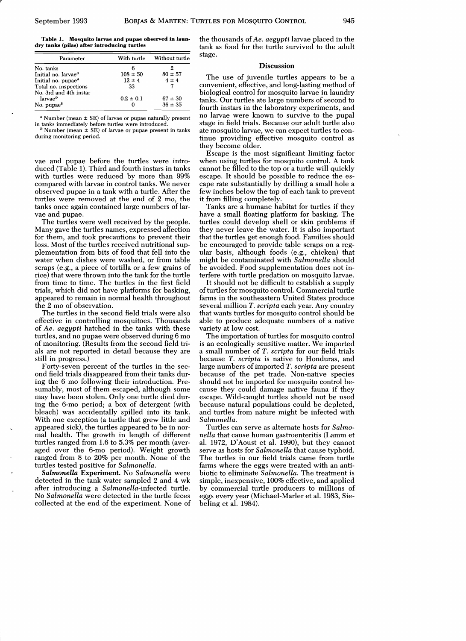| Parameter                       |               | With turtle Without turtle |
|---------------------------------|---------------|----------------------------|
| No. tanks                       |               |                            |
| Initial no. larvae <sup>a</sup> | $108 \pm 50$  | $80 \pm 57$                |
| Initial no. pupae <sup>a</sup>  | $12 \pm 4$    | $4 \pm 4$                  |
| Total no. inspections           | 33            |                            |
| No. 3rd and 4th instar          |               |                            |
| larvae <sup>b</sup>             | $0.2 \pm 0.1$ | $67 \pm 30$                |
| No. pupae $b$                   |               | $36 \pm 35$                |

 $a$  Number (mean  $\pm$  SE) of larvae or pupae naturally present

in tanks immediately before turtles were introduced.  $b$ Number (mean  $\pm$  SE) of larvae or pupae present in tanks during monitoring period.

vae and pupae before the turtles were introduced (Table 1). Third and fourth instars in tanks with turtles were reduced by more than 99% compared with larvae in control tanks. We never observed pupae in a tank with a turtle. After the turtles were removed at the end of 2 mo, the tanks once again contained large numbers of larvae and pupae.

The turtles were well received by the people. Many gave the turtles names, expressed affection for them, and took precautions to prevent their loss. Most of the turtles received nutritional supplementation from bits of food that fell into the water when dishes were washed, or from table scraps (e.g., a piece of tortilla or a few grains of rice) that were thrown into the tank for the turtle from time to time. The turtles in the first field trials, which did not have platforms for basking, appeared to remain in normal health throughout the 2 mo of observation.

The turtles in the second field trials were also effective in controlling mosquitoes. Thousands of *Ae. aegypti* hatched in the tanks with these turtles, and no pupae were observed during 6 mo of monitoring. (Results from the second field trials are not reported in detail because they are still in progress.)

Forty-seven percent of the turtles in the second field trials disappeared from their tanks during the 6 mo following their introduction. Presumably, most of them escaped, although some may have been stolen. Only one turtle died during the 6-mo period; a box of detergent (with bleach) was accidentally spilled into its tank. With one exception (a turtle that grew little and appeared sick), the turtles appeared to be in normal health. The growth in length of different turtles ranged from 1.6 to 5.3% per month (averaged over the 6-mo period). Weight growth ranged from 8 to 20% per month. None of the turtles tested positive for *Salmonella.* 

*Salmonella* Experiment. No *Salmonella* were detected in the tank water sampled 2 and 4 wk after introducing a *Salmonella-infected* turtle. No *Salmonella* were detected in the turtle feces collected at the end of the experiment. None of

Table 1. Mosquito larvae and pupae observed in laun-<br>dry tanks (pilas) after introducing turtles<br>tank as food for the turtle survived to the adult tank as food for the turtle survived to the adult stage.

### **Discussion**

The use of juvenile turtles appears to be a convenient, effective, and long-lasting method of biological control for mosquito larvae in laundry tanks. Our turtles ate large numbers of second to fourth instars in the laboratory experiments, and no larvae were known to survive to the pupal stage in field trials. Because our adult turtle also ate mosquito larvae, we can expect turtles to continue providing effective mosquito control as they become older.

Escape is the most significant limiting factor when using turtles for mosquito control. A tank cannot be filled to the top or a turtle will quickly escape. It should be possible to reduce the escape rate substantially by drilling a small hole a few inches below the top of each tank to prevent it from filling completely.

Tanks are a humane habitat for turtles if they have a small floating platform for basking. The turtles could develop shell or skin problems if they never leave the water. It is also important that the turtles get enough food. Families should be encouraged to provide table scraps on a regular basis, although foods (e.g., chicken) that might be contaminated with *Salmonella* should be avoided. Food supplementation does not interfere with turtle predation on mosquito larvae.

It should not be difficult to establish a supply of turtles for mosquito control. Commercial turtle farms in the southeastern United States produce several million *T. scripta* each year. Any country that wants turtles for mosquito control should be able to produce adequate numbers of a native variety at low cost.

The importation of turtles for mosquito control is an ecologically sensitive matter. We imported a small number of *T. scripta* for our field trials because *T. scripta* is native to Honduras, and large numbers of imported *T. scripta* are present because of the pet trade. Non-native species should not be imported for mosquito control because they could damage native fauna if they escape. Wild-caught turtles should not be used because natural populations could be depleted, and turtles from nature might be infected with *Salmonella.* 

Turtles can serve as alternate hosts for *Salmonella* that cause human gastroenteritis (Lamm et al. 1972, D'Aoust et al. 1990), but they cannot serve as hosts for *Salmonella* that cause typhoid. The turtles in our field trials came from turtle farms where the eggs were treated with an antibiotic to eliminate *Salmonella.* The treatment is simple, inexpensive, 100% effective, and applied by commercial turtle producers to millions of eggs every year (Michael-Marler et al. 1983, Siebeling et al. 1984).